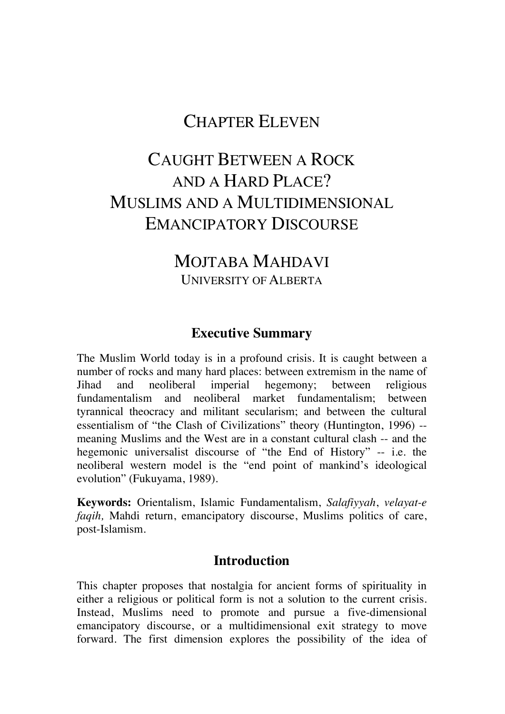## CHAPTER ELEVEN

# CAUGHT BETWEEN A ROCK AND A HARD PLACE? MUSLIMS AND A MULTIDIMENSIONAL EMANCIPATORY DISCOURSE

## MOJTABA MAHDAVI UNIVERSITY OF ALBERTA

#### **Executive Summary**

The Muslim World today is in a profound crisis. It is caught between a number of rocks and many hard places: between extremism in the name of Jihad and neoliberal imperial hegemony; between religious fundamentalism and neoliberal market fundamentalism; between tyrannical theocracy and militant secularism; and between the cultural essentialism of "the Clash of Civilizations" theory (Huntington, 1996) - meaning Muslims and the West are in a constant cultural clash -- and the hegemonic universalist discourse of "the End of History" -- i.e. the neoliberal western model is the "end point of mankind's ideological evolution" (Fukuyama, 1989).

**Keywords:** Orientalism, Islamic Fundamentalism, *Salafiyyah*, *velayat-e faqih,* Mahdi return, emancipatory discourse, Muslims politics of care, post-Islamism.

#### **Introduction**

This chapter proposes that nostalgia for ancient forms of spirituality in either a religious or political form is not a solution to the current crisis. Instead, Muslims need to promote and pursue a five-dimensional emancipatory discourse, or a multidimensional exit strategy to move forward. The first dimension explores the possibility of the idea of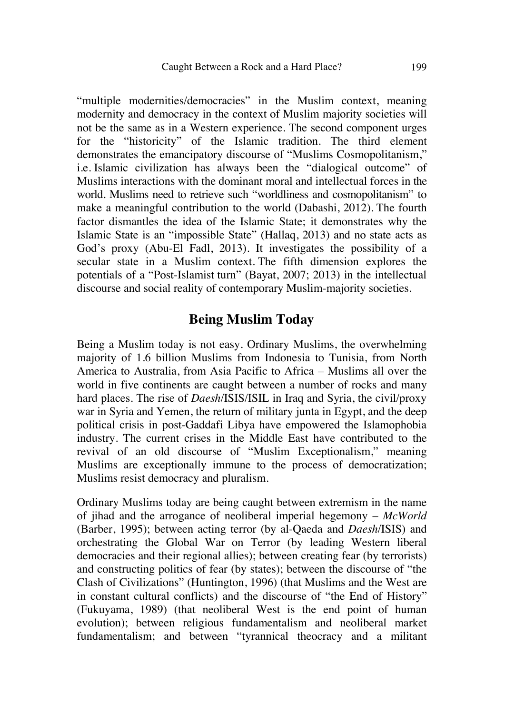"multiple modernities/democracies" in the Muslim context, meaning modernity and democracy in the context of Muslim majority societies will not be the same as in a Western experience. The second component urges for the "historicity" of the Islamic tradition. The third element demonstrates the emancipatory discourse of "Muslims Cosmopolitanism," i.e. Islamic civilization has always been the "dialogical outcome" of Muslims interactions with the dominant moral and intellectual forces in the world. Muslims need to retrieve such "worldliness and cosmopolitanism" to make a meaningful contribution to the world (Dabashi, 2012). The fourth factor dismantles the idea of the Islamic State; it demonstrates why the Islamic State is an "impossible State" (Hallaq, 2013) and no state acts as God's proxy (Abu-El Fadl, 2013). It investigates the possibility of a secular state in a Muslim context. The fifth dimension explores the potentials of a "Post-Islamist turn" (Bayat, 2007; 2013) in the intellectual discourse and social reality of contemporary Muslim-majority societies.

#### **Being Muslim Today**

Being a Muslim today is not easy. Ordinary Muslims, the overwhelming majority of 1.6 billion Muslims from Indonesia to Tunisia, from North America to Australia, from Asia Pacific to Africa – Muslims all over the world in five continents are caught between a number of rocks and many hard places. The rise of *Daesh*/ISIS/ISIL in Iraq and Syria, the civil/proxy war in Syria and Yemen, the return of military junta in Egypt, and the deep political crisis in post-Gaddafi Libya have empowered the Islamophobia industry. The current crises in the Middle East have contributed to the revival of an old discourse of "Muslim Exceptionalism," meaning Muslims are exceptionally immune to the process of democratization; Muslims resist democracy and pluralism.

Ordinary Muslims today are being caught between extremism in the name of jihad and the arrogance of neoliberal imperial hegemony – *McWorld*  (Barber, 1995); between acting terror (by al-Qaeda and *Daesh*/ISIS) and orchestrating the Global War on Terror (by leading Western liberal democracies and their regional allies); between creating fear (by terrorists) and constructing politics of fear (by states); between the discourse of "the Clash of Civilizations" (Huntington, 1996) (that Muslims and the West are in constant cultural conflicts) and the discourse of "the End of History" (Fukuyama, 1989) (that neoliberal West is the end point of human evolution); between religious fundamentalism and neoliberal market fundamentalism; and between "tyrannical theocracy and a militant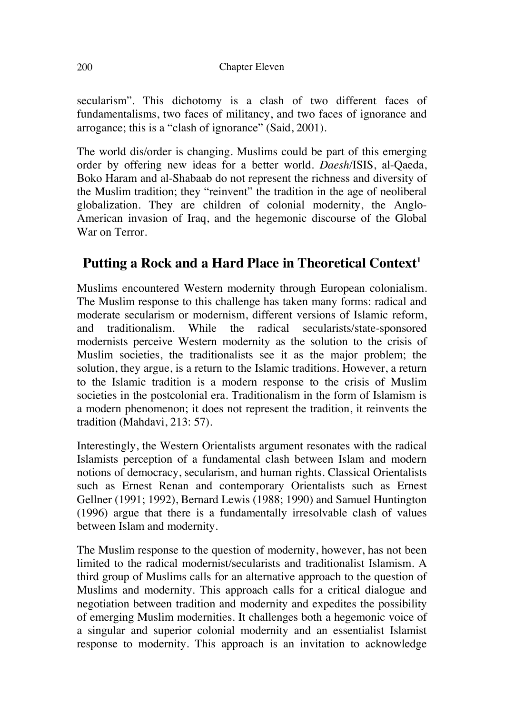secularism". This dichotomy is a clash of two different faces of fundamentalisms, two faces of militancy, and two faces of ignorance and arrogance; this is a "clash of ignorance" (Said, 2001).

The world dis/order is changing. Muslims could be part of this emerging order by offering new ideas for a better world. *Daesh*/ISIS, al-Qaeda, Boko Haram and al-Shabaab do not represent the richness and diversity of the Muslim tradition; they "reinvent" the tradition in the age of neoliberal globalization. They are children of colonial modernity, the Anglo-American invasion of Iraq, and the hegemonic discourse of the Global War on Terror.

## Putting a Rock and a Hard Place in Theoretical Context<sup>1</sup>

Muslims encountered Western modernity through European colonialism. The Muslim response to this challenge has taken many forms: radical and moderate secularism or modernism, different versions of Islamic reform, and traditionalism. While the radical secularists/state-sponsored modernists perceive Western modernity as the solution to the crisis of Muslim societies, the traditionalists see it as the major problem; the solution, they argue, is a return to the Islamic traditions. However, a return to the Islamic tradition is a modern response to the crisis of Muslim societies in the postcolonial era. Traditionalism in the form of Islamism is a modern phenomenon; it does not represent the tradition, it reinvents the tradition (Mahdavi, 213: 57).

Interestingly, the Western Orientalists argument resonates with the radical Islamists perception of a fundamental clash between Islam and modern notions of democracy, secularism, and human rights. Classical Orientalists such as Ernest Renan and contemporary Orientalists such as Ernest Gellner (1991; 1992), Bernard Lewis (1988; 1990) and Samuel Huntington (1996) argue that there is a fundamentally irresolvable clash of values between Islam and modernity.

The Muslim response to the question of modernity, however, has not been limited to the radical modernist/secularists and traditionalist Islamism. A third group of Muslims calls for an alternative approach to the question of Muslims and modernity. This approach calls for a critical dialogue and negotiation between tradition and modernity and expedites the possibility of emerging Muslim modernities. It challenges both a hegemonic voice of a singular and superior colonial modernity and an essentialist Islamist response to modernity. This approach is an invitation to acknowledge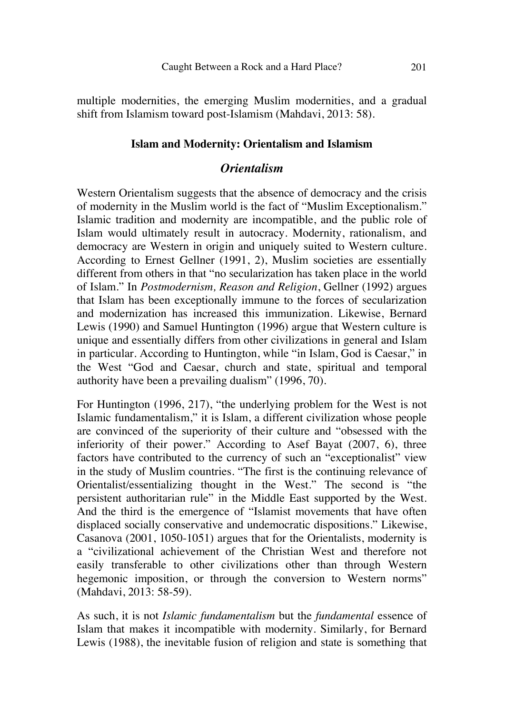multiple modernities, the emerging Muslim modernities, and a gradual shift from Islamism toward post-Islamism (Mahdavi, 2013: 58).

#### **Islam and Modernity: Orientalism and Islamism**

#### *Orientalism*

Western Orientalism suggests that the absence of democracy and the crisis of modernity in the Muslim world is the fact of "Muslim Exceptionalism." Islamic tradition and modernity are incompatible, and the public role of Islam would ultimately result in autocracy. Modernity, rationalism, and democracy are Western in origin and uniquely suited to Western culture. According to Ernest Gellner (1991, 2), Muslim societies are essentially different from others in that "no secularization has taken place in the world of Islam." In *Postmodernism, Reason and Religion*, Gellner (1992) argues that Islam has been exceptionally immune to the forces of secularization and modernization has increased this immunization. Likewise, Bernard Lewis (1990) and Samuel Huntington (1996) argue that Western culture is unique and essentially differs from other civilizations in general and Islam in particular. According to Huntington, while "in Islam, God is Caesar," in the West "God and Caesar, church and state, spiritual and temporal authority have been a prevailing dualism" (1996, 70).

For Huntington (1996, 217), "the underlying problem for the West is not Islamic fundamentalism," it is Islam, a different civilization whose people are convinced of the superiority of their culture and "obsessed with the inferiority of their power." According to Asef Bayat (2007, 6), three factors have contributed to the currency of such an "exceptionalist" view in the study of Muslim countries. "The first is the continuing relevance of Orientalist/essentializing thought in the West." The second is "the persistent authoritarian rule" in the Middle East supported by the West. And the third is the emergence of "Islamist movements that have often displaced socially conservative and undemocratic dispositions." Likewise, Casanova (2001, 1050-1051) argues that for the Orientalists, modernity is a "civilizational achievement of the Christian West and therefore not easily transferable to other civilizations other than through Western hegemonic imposition, or through the conversion to Western norms" (Mahdavi, 2013: 58-59).

As such, it is not *Islamic fundamentalism* but the *fundamental* essence of Islam that makes it incompatible with modernity. Similarly, for Bernard Lewis (1988), the inevitable fusion of religion and state is something that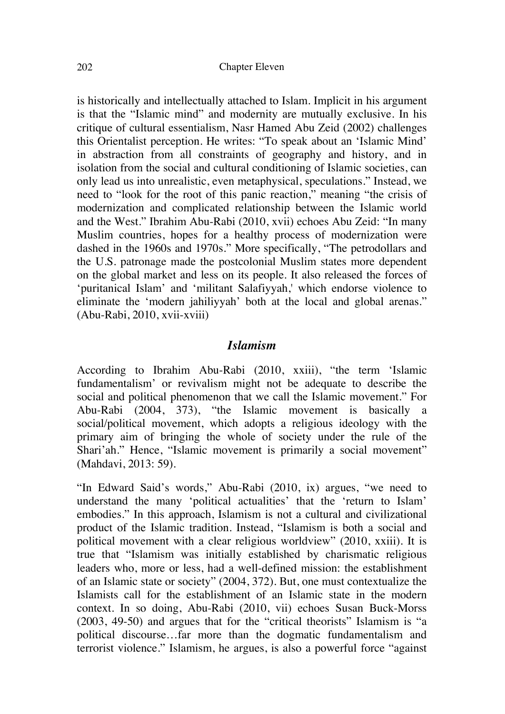is historically and intellectually attached to Islam. Implicit in his argument is that the "Islamic mind" and modernity are mutually exclusive. In his critique of cultural essentialism, Nasr Hamed Abu Zeid (2002) challenges this Orientalist perception. He writes: "To speak about an 'Islamic Mind' in abstraction from all constraints of geography and history, and in isolation from the social and cultural conditioning of Islamic societies, can only lead us into unrealistic, even metaphysical, speculations." Instead, we need to "look for the root of this panic reaction," meaning "the crisis of modernization and complicated relationship between the Islamic world and the West." Ibrahim Abu-Rabi (2010, xvii) echoes Abu Zeid: "In many Muslim countries, hopes for a healthy process of modernization were dashed in the 1960s and 1970s." More specifically, "The petrodollars and the U.S. patronage made the postcolonial Muslim states more dependent on the global market and less on its people. It also released the forces of 'puritanical Islam' and 'militant Salafiyyah,' which endorse violence to eliminate the 'modern jahiliyyah' both at the local and global arenas." (Abu-Rabi, 2010, xvii-xviii)

#### *Islamism*

According to Ibrahim Abu-Rabi (2010, xxiii), "the term 'Islamic fundamentalism' or revivalism might not be adequate to describe the social and political phenomenon that we call the Islamic movement." For Abu-Rabi (2004, 373), "the Islamic movement is basically a social/political movement, which adopts a religious ideology with the primary aim of bringing the whole of society under the rule of the Shari'ah." Hence, "Islamic movement is primarily a social movement" (Mahdavi, 2013: 59).

"In Edward Said's words," Abu-Rabi (2010, ix) argues, "we need to understand the many 'political actualities' that the 'return to Islam' embodies." In this approach, Islamism is not a cultural and civilizational product of the Islamic tradition. Instead, "Islamism is both a social and political movement with a clear religious worldview" (2010, xxiii). It is true that "Islamism was initially established by charismatic religious leaders who, more or less, had a well-defined mission: the establishment of an Islamic state or society" (2004, 372). But, one must contextualize the Islamists call for the establishment of an Islamic state in the modern context. In so doing, Abu-Rabi (2010, vii) echoes Susan Buck-Morss (2003, 49-50) and argues that for the "critical theorists" Islamism is "a political discourse…far more than the dogmatic fundamentalism and terrorist violence." Islamism, he argues, is also a powerful force "against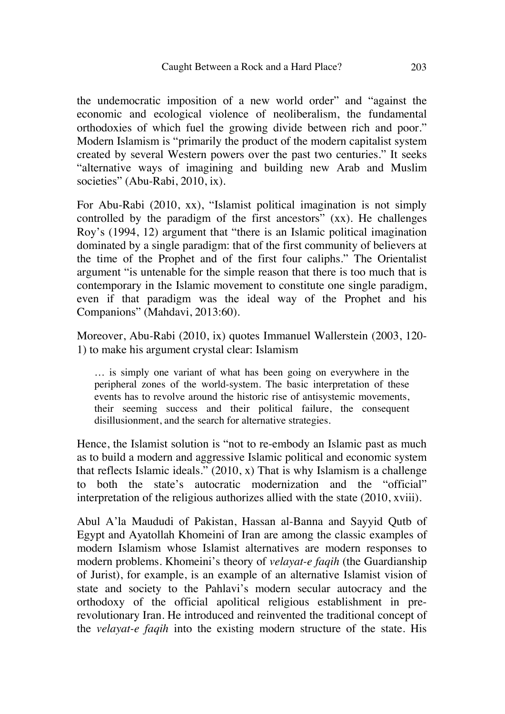the undemocratic imposition of a new world order" and "against the economic and ecological violence of neoliberalism, the fundamental orthodoxies of which fuel the growing divide between rich and poor." Modern Islamism is "primarily the product of the modern capitalist system created by several Western powers over the past two centuries." It seeks "alternative ways of imagining and building new Arab and Muslim societies" (Abu-Rabi, 2010, ix).

For Abu-Rabi (2010, xx), "Islamist political imagination is not simply controlled by the paradigm of the first ancestors" (xx). He challenges Roy's (1994, 12) argument that "there is an Islamic political imagination dominated by a single paradigm: that of the first community of believers at the time of the Prophet and of the first four caliphs." The Orientalist argument "is untenable for the simple reason that there is too much that is contemporary in the Islamic movement to constitute one single paradigm, even if that paradigm was the ideal way of the Prophet and his Companions" (Mahdavi, 2013:60).

Moreover, Abu-Rabi (2010, ix) quotes Immanuel Wallerstein (2003, 120- 1) to make his argument crystal clear: Islamism

… is simply one variant of what has been going on everywhere in the peripheral zones of the world-system. The basic interpretation of these events has to revolve around the historic rise of antisystemic movements, their seeming success and their political failure, the consequent disillusionment, and the search for alternative strategies.

Hence, the Islamist solution is "not to re-embody an Islamic past as much as to build a modern and aggressive Islamic political and economic system that reflects Islamic ideals." (2010, x) That is why Islamism is a challenge to both the state's autocratic modernization and the "official" interpretation of the religious authorizes allied with the state (2010, xviii).

Abul A'la Maududi of Pakistan, Hassan al-Banna and Sayyid Qutb of Egypt and Ayatollah Khomeini of Iran are among the classic examples of modern Islamism whose Islamist alternatives are modern responses to modern problems. Khomeini's theory of *velayat-e faqih* (the Guardianship of Jurist), for example, is an example of an alternative Islamist vision of state and society to the Pahlavi's modern secular autocracy and the orthodoxy of the official apolitical religious establishment in prerevolutionary Iran. He introduced and reinvented the traditional concept of the *velayat-e faqih* into the existing modern structure of the state. His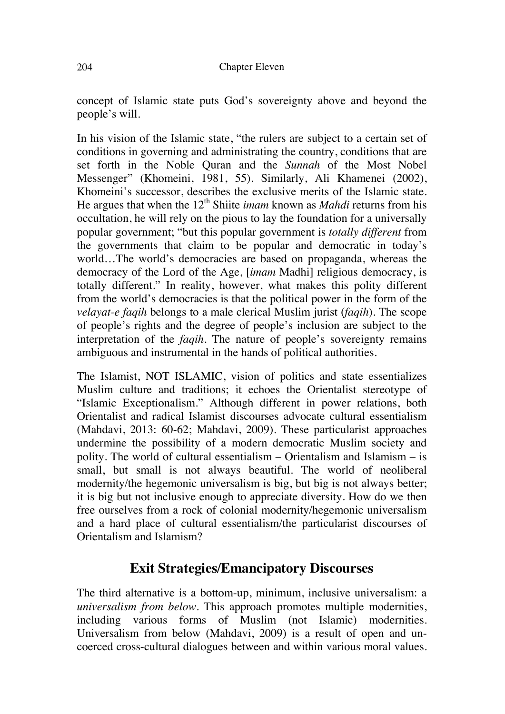concept of Islamic state puts God's sovereignty above and beyond the people's will.

In his vision of the Islamic state, "the rulers are subject to a certain set of conditions in governing and administrating the country, conditions that are set forth in the Noble Quran and the *Sunnah* of the Most Nobel Messenger" (Khomeini, 1981, 55). Similarly, Ali Khamenei (2002), Khomeini's successor, describes the exclusive merits of the Islamic state. He argues that when the 12<sup>th</sup> Shiite *imam* known as *Mahdi* returns from his occultation, he will rely on the pious to lay the foundation for a universally popular government; "but this popular government is *totally different* from the governments that claim to be popular and democratic in today's world…The world's democracies are based on propaganda, whereas the democracy of the Lord of the Age, [*imam* Madhi] religious democracy, is totally different." In reality, however, what makes this polity different from the world's democracies is that the political power in the form of the *velayat-e faqih* belongs to a male clerical Muslim jurist (*faqih*). The scope of people's rights and the degree of people's inclusion are subject to the interpretation of the *faqih*. The nature of people's sovereignty remains ambiguous and instrumental in the hands of political authorities.

The Islamist, NOT ISLAMIC, vision of politics and state essentializes Muslim culture and traditions; it echoes the Orientalist stereotype of "Islamic Exceptionalism." Although different in power relations, both Orientalist and radical Islamist discourses advocate cultural essentialism (Mahdavi, 2013: 60-62; Mahdavi, 2009). These particularist approaches undermine the possibility of a modern democratic Muslim society and polity. The world of cultural essentialism – Orientalism and Islamism – is small, but small is not always beautiful. The world of neoliberal modernity/the hegemonic universalism is big, but big is not always better; it is big but not inclusive enough to appreciate diversity. How do we then free ourselves from a rock of colonial modernity/hegemonic universalism and a hard place of cultural essentialism/the particularist discourses of Orientalism and Islamism?

## **Exit Strategies/Emancipatory Discourses**

The third alternative is a bottom-up, minimum, inclusive universalism: a *universalism from below*. This approach promotes multiple modernities, including various forms of Muslim (not Islamic) modernities. Universalism from below (Mahdavi, 2009) is a result of open and uncoerced cross-cultural dialogues between and within various moral values.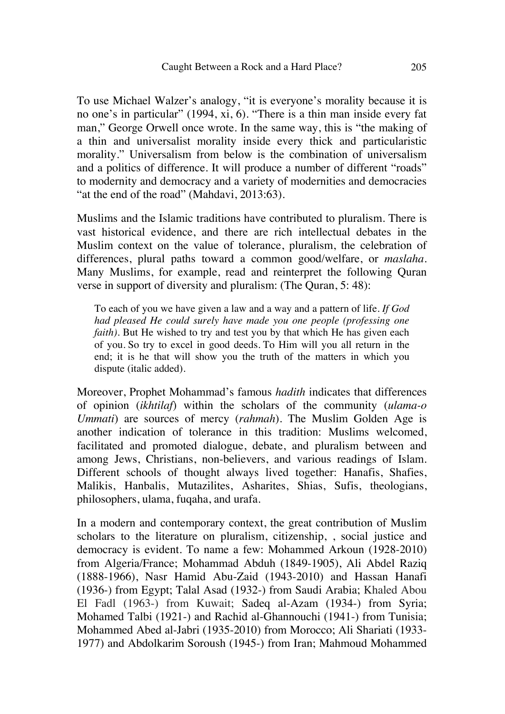To use Michael Walzer's analogy, "it is everyone's morality because it is no one's in particular" (1994, xi, 6). "There is a thin man inside every fat man," George Orwell once wrote. In the same way, this is "the making of a thin and universalist morality inside every thick and particularistic morality." Universalism from below is the combination of universalism and a politics of difference. It will produce a number of different "roads" to modernity and democracy and a variety of modernities and democracies "at the end of the road" (Mahdavi, 2013:63).

Muslims and the Islamic traditions have contributed to pluralism. There is vast historical evidence, and there are rich intellectual debates in the Muslim context on the value of tolerance, pluralism, the celebration of differences, plural paths toward a common good/welfare, or *maslaha*. Many Muslims, for example, read and reinterpret the following Quran verse in support of diversity and pluralism: (The Quran, 5: 48):

To each of you we have given a law and a way and a pattern of life*. If God had pleased He could surely have made you one people (professing one faith*). But He wished to try and test you by that which He has given each of you. So try to excel in good deeds. To Him will you all return in the end; it is he that will show you the truth of the matters in which you dispute (italic added).

Moreover, Prophet Mohammad's famous *hadith* indicates that differences of opinion (*ikhtilaf*) within the scholars of the community (*ulama-o Ummati*) are sources of mercy (*rahmah*). The Muslim Golden Age is another indication of tolerance in this tradition: Muslims welcomed, facilitated and promoted dialogue, debate, and pluralism between and among Jews, Christians, non-believers, and various readings of Islam. Different schools of thought always lived together: Hanafis, Shafies, Malikis, Hanbalis, Mutazilites, Asharites, Shias, Sufis, theologians, philosophers, ulama, fuqaha, and urafa.

In a modern and contemporary context, the great contribution of Muslim scholars to the literature on pluralism, citizenship, , social justice and democracy is evident. To name a few: Mohammed Arkoun (1928-2010) from Algeria/France; Mohammad Abduh (1849-1905), Ali Abdel Raziq (1888-1966), Nasr Hamid Abu-Zaid (1943-2010) and Hassan Hanafi (1936-) from Egypt; Talal Asad (1932-) from Saudi Arabia; Khaled Abou El Fadl (1963-) from Kuwait; Sadeq al-Azam (1934-) from Syria; Mohamed Talbi (1921-) and Rachid al-Ghannouchi (1941-) from Tunisia; Mohammed Abed al-Jabri (1935-2010) from Morocco; Ali Shariati (1933- 1977) and Abdolkarim Soroush (1945-) from Iran; Mahmoud Mohammed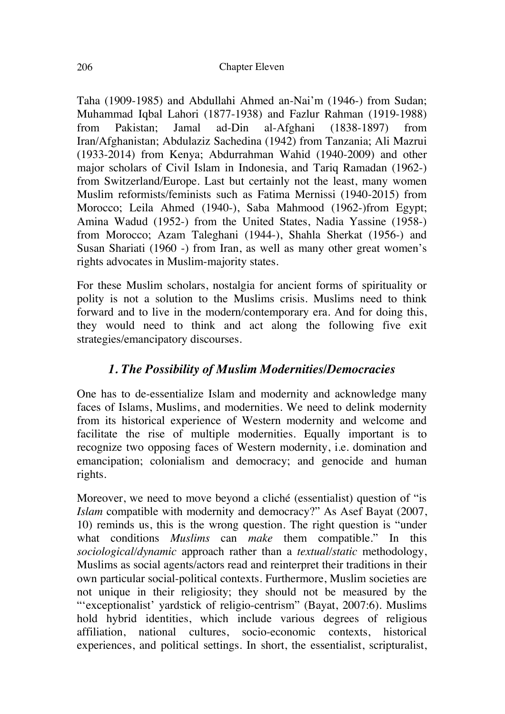Taha (1909-1985) and Abdullahi Ahmed an-Nai'm (1946-) from Sudan; Muhammad Iqbal Lahori (1877-1938) and Fazlur Rahman (1919-1988) from Pakistan; Jamal ad-Din al-Afghani (1838-1897) from Iran/Afghanistan; Abdulaziz Sachedina (1942) from Tanzania; Ali Mazrui (1933-2014) from Kenya; Abdurrahman Wahid (1940-2009) and other major scholars of Civil Islam in Indonesia, and Tariq Ramadan (1962-) from Switzerland/Europe. Last but certainly not the least, many women Muslim reformists/feminists such as Fatima Mernissi (1940-2015) from Morocco; Leila Ahmed (1940-), Saba Mahmood (1962-)from Egypt; Amina Wadud (1952-) from the United States, Nadia Yassine (1958-) from Morocco; Azam Taleghani (1944-), Shahla Sherkat (1956-) and Susan Shariati (1960 -) from Iran, as well as many other great women's rights advocates in Muslim-majority states.

For these Muslim scholars, nostalgia for ancient forms of spirituality or polity is not a solution to the Muslims crisis. Muslims need to think forward and to live in the modern/contemporary era. And for doing this, they would need to think and act along the following five exit strategies/emancipatory discourses.

## *1. The Possibility of Muslim Modernities/Democracies*

One has to de-essentialize Islam and modernity and acknowledge many faces of Islams, Muslims, and modernities. We need to delink modernity from its historical experience of Western modernity and welcome and facilitate the rise of multiple modernities. Equally important is to recognize two opposing faces of Western modernity, i.e. domination and emancipation; colonialism and democracy; and genocide and human rights.

Moreover, we need to move beyond a cliché (essentialist) question of "is *Islam* compatible with modernity and democracy?" As Asef Bayat (2007, 10) reminds us, this is the wrong question. The right question is "under what conditions *Muslims* can *make* them compatible." In this *sociological/dynamic* approach rather than a *textual/static* methodology, Muslims as social agents/actors read and reinterpret their traditions in their own particular social-political contexts. Furthermore, Muslim societies are not unique in their religiosity; they should not be measured by the "'exceptionalist' yardstick of religio-centrism" (Bayat, 2007:6). Muslims hold hybrid identities, which include various degrees of religious affiliation, national cultures, socio-economic contexts, historical experiences, and political settings. In short, the essentialist, scripturalist,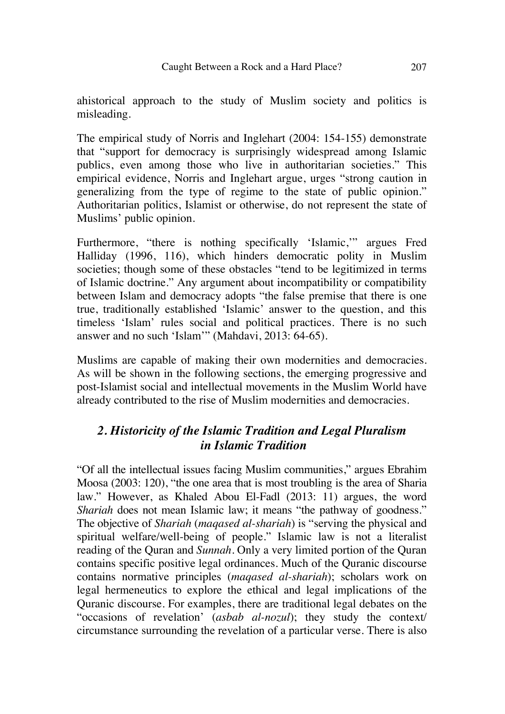ahistorical approach to the study of Muslim society and politics is misleading.

The empirical study of Norris and Inglehart (2004: 154-155) demonstrate that "support for democracy is surprisingly widespread among Islamic publics, even among those who live in authoritarian societies." This empirical evidence, Norris and Inglehart argue, urges "strong caution in generalizing from the type of regime to the state of public opinion." Authoritarian politics, Islamist or otherwise, do not represent the state of Muslims' public opinion.

Furthermore, "there is nothing specifically 'Islamic,'" argues Fred Halliday (1996, 116), which hinders democratic polity in Muslim societies; though some of these obstacles "tend to be legitimized in terms of Islamic doctrine." Any argument about incompatibility or compatibility between Islam and democracy adopts "the false premise that there is one true, traditionally established 'Islamic' answer to the question, and this timeless 'Islam' rules social and political practices. There is no such answer and no such 'Islam'" (Mahdavi, 2013: 64-65).

Muslims are capable of making their own modernities and democracies. As will be shown in the following sections, the emerging progressive and post-Islamist social and intellectual movements in the Muslim World have already contributed to the rise of Muslim modernities and democracies.

#### *2. Historicity of the Islamic Tradition and Legal Pluralism in Islamic Tradition*

"Of all the intellectual issues facing Muslim communities," argues Ebrahim Moosa (2003: 120), "the one area that is most troubling is the area of Sharia law." However, as Khaled Abou El-Fadl (2013: 11) argues, the word *Shariah* does not mean Islamic law; it means "the pathway of goodness." The objective of *Shariah* (*maqased al-shariah*) is "serving the physical and spiritual welfare/well-being of people." Islamic law is not a literalist reading of the Quran and *Sunnah*. Only a very limited portion of the Quran contains specific positive legal ordinances. Much of the Quranic discourse contains normative principles (*maqased al-shariah*); scholars work on legal hermeneutics to explore the ethical and legal implications of the Quranic discourse. For examples, there are traditional legal debates on the "occasions of revelation' (*asbab al-nozul*); they study the context/ circumstance surrounding the revelation of a particular verse. There is also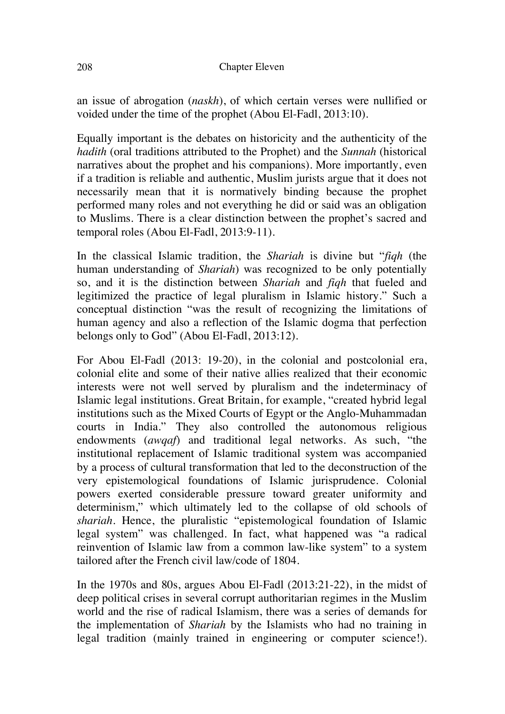an issue of abrogation (*naskh*), of which certain verses were nullified or voided under the time of the prophet (Abou El-Fadl, 2013:10).

Equally important is the debates on historicity and the authenticity of the *hadith* (oral traditions attributed to the Prophet) and the *Sunnah* (historical narratives about the prophet and his companions). More importantly, even if a tradition is reliable and authentic, Muslim jurists argue that it does not necessarily mean that it is normatively binding because the prophet performed many roles and not everything he did or said was an obligation to Muslims. There is a clear distinction between the prophet's sacred and temporal roles (Abou El-Fadl, 2013:9-11).

In the classical Islamic tradition, the *Shariah* is divine but "*fiqh* (the human understanding of *Shariah*) was recognized to be only potentially so, and it is the distinction between *Shariah* and *fiqh* that fueled and legitimized the practice of legal pluralism in Islamic history." Such a conceptual distinction "was the result of recognizing the limitations of human agency and also a reflection of the Islamic dogma that perfection belongs only to God" (Abou El-Fadl, 2013:12).

For Abou El-Fadl (2013: 19-20), in the colonial and postcolonial era, colonial elite and some of their native allies realized that their economic interests were not well served by pluralism and the indeterminacy of Islamic legal institutions. Great Britain, for example, "created hybrid legal institutions such as the Mixed Courts of Egypt or the Anglo-Muhammadan courts in India." They also controlled the autonomous religious endowments (*awqaf*) and traditional legal networks. As such, "the institutional replacement of Islamic traditional system was accompanied by a process of cultural transformation that led to the deconstruction of the very epistemological foundations of Islamic jurisprudence. Colonial powers exerted considerable pressure toward greater uniformity and determinism," which ultimately led to the collapse of old schools of *shariah*. Hence, the pluralistic "epistemological foundation of Islamic legal system" was challenged. In fact, what happened was "a radical reinvention of Islamic law from a common law-like system" to a system tailored after the French civil law/code of 1804.

In the 1970s and 80s, argues Abou El-Fadl (2013:21-22), in the midst of deep political crises in several corrupt authoritarian regimes in the Muslim world and the rise of radical Islamism, there was a series of demands for the implementation of *Shariah* by the Islamists who had no training in legal tradition (mainly trained in engineering or computer science!).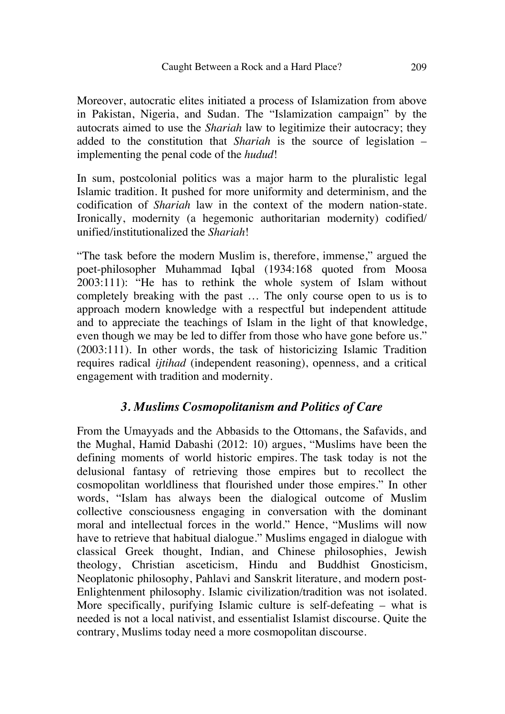Moreover, autocratic elites initiated a process of Islamization from above in Pakistan, Nigeria, and Sudan. The "Islamization campaign" by the autocrats aimed to use the *Shariah* law to legitimize their autocracy; they added to the constitution that *Shariah* is the source of legislation – implementing the penal code of the *hudud*!

In sum, postcolonial politics was a major harm to the pluralistic legal Islamic tradition. It pushed for more uniformity and determinism, and the codification of *Shariah* law in the context of the modern nation-state. Ironically, modernity (a hegemonic authoritarian modernity) codified/ unified/institutionalized the *Shariah*!

"The task before the modern Muslim is, therefore, immense," argued the poet-philosopher Muhammad Iqbal (1934:168 quoted from Moosa 2003:111): "He has to rethink the whole system of Islam without completely breaking with the past … The only course open to us is to approach modern knowledge with a respectful but independent attitude and to appreciate the teachings of Islam in the light of that knowledge, even though we may be led to differ from those who have gone before us." (2003:111). In other words, the task of historicizing Islamic Tradition requires radical *ijtihad* (independent reasoning), openness, and a critical engagement with tradition and modernity.

#### *3. Muslims Cosmopolitanism and Politics of Care*

From the Umayyads and the Abbasids to the Ottomans, the Safavids, and the Mughal, Hamid Dabashi (2012: 10) argues, "Muslims have been the defining moments of world historic empires. The task today is not the delusional fantasy of retrieving those empires but to recollect the cosmopolitan worldliness that flourished under those empires." In other words, "Islam has always been the dialogical outcome of Muslim collective consciousness engaging in conversation with the dominant moral and intellectual forces in the world." Hence, "Muslims will now have to retrieve that habitual dialogue." Muslims engaged in dialogue with classical Greek thought, Indian, and Chinese philosophies, Jewish theology, Christian asceticism, Hindu and Buddhist Gnosticism, Neoplatonic philosophy, Pahlavi and Sanskrit literature, and modern post-Enlightenment philosophy. Islamic civilization/tradition was not isolated. More specifically, purifying Islamic culture is self-defeating – what is needed is not a local nativist, and essentialist Islamist discourse. Quite the contrary, Muslims today need a more cosmopolitan discourse.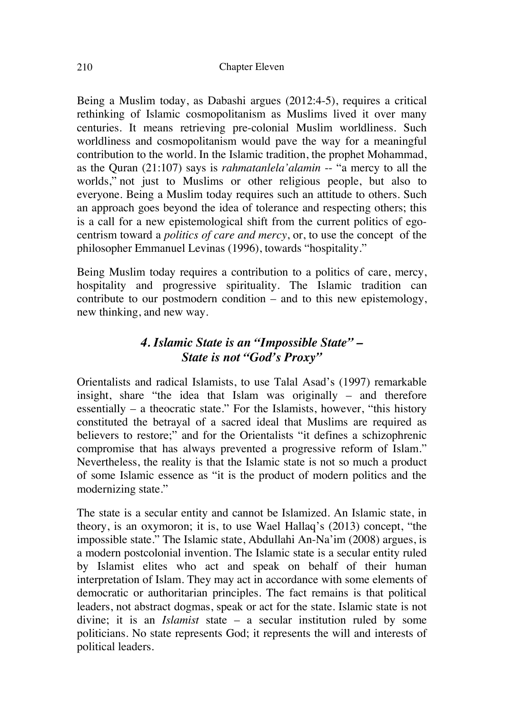Being a Muslim today, as Dabashi argues (2012:4-5), requires a critical rethinking of Islamic cosmopolitanism as Muslims lived it over many centuries. It means retrieving pre-colonial Muslim worldliness. Such worldliness and cosmopolitanism would pave the way for a meaningful contribution to the world. In the Islamic tradition, the prophet Mohammad, as the Quran (21:107) says is *rahmatanlela'alamin* -- "a mercy to all the worlds," not just to Muslims or other religious people, but also to everyone. Being a Muslim today requires such an attitude to others. Such an approach goes beyond the idea of tolerance and respecting others; this is a call for a new epistemological shift from the current politics of egocentrism toward a *politics of care and mercy*, or, to use the concept of the philosopher Emmanuel Levinas (1996), towards "hospitality."

Being Muslim today requires a contribution to a politics of care, mercy, hospitality and progressive spirituality. The Islamic tradition can contribute to our postmodern condition – and to this new epistemology, new thinking, and new way.

## *4. Islamic State is an "Impossible State" – State is not "God's Proxy"*

Orientalists and radical Islamists, to use Talal Asad's (1997) remarkable insight, share "the idea that Islam was originally – and therefore essentially – a theocratic state." For the Islamists, however, "this history constituted the betrayal of a sacred ideal that Muslims are required as believers to restore;" and for the Orientalists "it defines a schizophrenic compromise that has always prevented a progressive reform of Islam." Nevertheless, the reality is that the Islamic state is not so much a product of some Islamic essence as "it is the product of modern politics and the modernizing state."

The state is a secular entity and cannot be Islamized. An Islamic state, in theory, is an oxymoron; it is, to use Wael Hallaq's (2013) concept, "the impossible state." The Islamic state, Abdullahi An-Na'im (2008) argues, is a modern postcolonial invention. The Islamic state is a secular entity ruled by Islamist elites who act and speak on behalf of their human interpretation of Islam. They may act in accordance with some elements of democratic or authoritarian principles. The fact remains is that political leaders, not abstract dogmas, speak or act for the state. Islamic state is not divine; it is an *Islamist* state – a secular institution ruled by some politicians. No state represents God; it represents the will and interests of political leaders.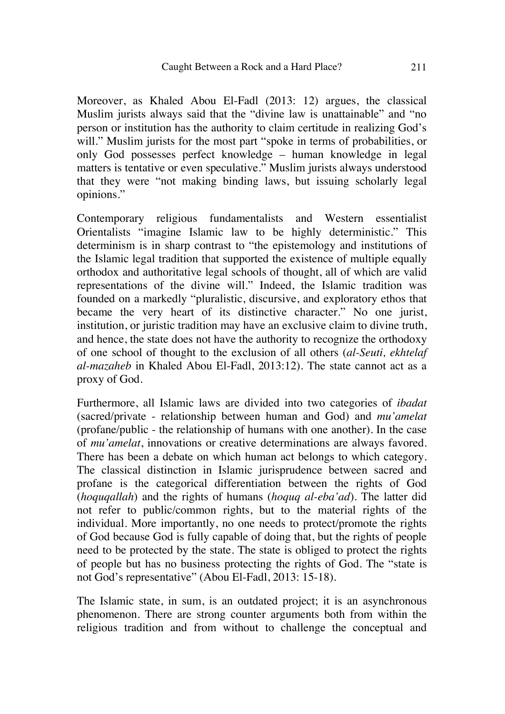Moreover, as Khaled Abou El-Fadl (2013: 12) argues, the classical Muslim jurists always said that the "divine law is unattainable" and "no person or institution has the authority to claim certitude in realizing God's will." Muslim jurists for the most part "spoke in terms of probabilities, or only God possesses perfect knowledge – human knowledge in legal matters is tentative or even speculative." Muslim jurists always understood that they were "not making binding laws, but issuing scholarly legal opinions."

Contemporary religious fundamentalists and Western essentialist Orientalists "imagine Islamic law to be highly deterministic." This determinism is in sharp contrast to "the epistemology and institutions of the Islamic legal tradition that supported the existence of multiple equally orthodox and authoritative legal schools of thought, all of which are valid representations of the divine will." Indeed, the Islamic tradition was founded on a markedly "pluralistic, discursive, and exploratory ethos that became the very heart of its distinctive character." No one jurist, institution, or juristic tradition may have an exclusive claim to divine truth, and hence, the state does not have the authority to recognize the orthodoxy of one school of thought to the exclusion of all others (*al-Seuti, ekhtelaf al-mazaheb* in Khaled Abou El-Fadl, 2013:12). The state cannot act as a proxy of God.

Furthermore, all Islamic laws are divided into two categories of *ibadat* (sacred/private - relationship between human and God) and *mu'amelat* (profane/public - the relationship of humans with one another). In the case of *mu'amelat*, innovations or creative determinations are always favored. There has been a debate on which human act belongs to which category. The classical distinction in Islamic jurisprudence between sacred and profane is the categorical differentiation between the rights of God (*hoquqallah*) and the rights of humans (*hoquq al-eba'ad*). The latter did not refer to public/common rights, but to the material rights of the individual. More importantly, no one needs to protect/promote the rights of God because God is fully capable of doing that, but the rights of people need to be protected by the state. The state is obliged to protect the rights of people but has no business protecting the rights of God. The "state is not God's representative" (Abou El-Fadl, 2013: 15-18).

The Islamic state, in sum, is an outdated project; it is an asynchronous phenomenon. There are strong counter arguments both from within the religious tradition and from without to challenge the conceptual and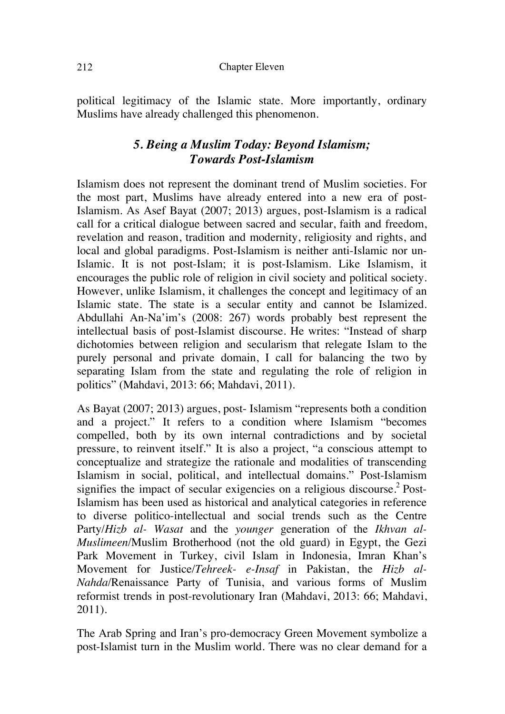political legitimacy of the Islamic state. More importantly, ordinary Muslims have already challenged this phenomenon.

#### *5. Being a Muslim Today: Beyond Islamism; Towards Post-Islamism*

Islamism does not represent the dominant trend of Muslim societies. For the most part, Muslims have already entered into a new era of post-Islamism. As Asef Bayat (2007; 2013) argues, post-Islamism is a radical call for a critical dialogue between sacred and secular, faith and freedom, revelation and reason, tradition and modernity, religiosity and rights, and local and global paradigms. Post-Islamism is neither anti-Islamic nor un-Islamic. It is not post-Islam; it is post-Islamism. Like Islamism, it encourages the public role of religion in civil society and political society. However, unlike Islamism, it challenges the concept and legitimacy of an Islamic state. The state is a secular entity and cannot be Islamized. Abdullahi An-Na'im's (2008: 267) words probably best represent the intellectual basis of post-Islamist discourse. He writes: "Instead of sharp dichotomies between religion and secularism that relegate Islam to the purely personal and private domain, I call for balancing the two by separating Islam from the state and regulating the role of religion in politics" (Mahdavi, 2013: 66; Mahdavi, 2011).

As Bayat (2007; 2013) argues, post- Islamism "represents both a condition and a project." It refers to a condition where Islamism "becomes compelled, both by its own internal contradictions and by societal pressure, to reinvent itself." It is also a project, "a conscious attempt to conceptualize and strategize the rationale and modalities of transcending Islamism in social, political, and intellectual domains." Post-Islamism signifies the impact of secular exigencies on a religious discourse.<sup>2</sup> Post-Islamism has been used as historical and analytical categories in reference to diverse politico-intellectual and social trends such as the Centre Party/*Hizb al- Wasat* and the *younger* generation of the *Ikhvan al-Muslimeen*/Muslim Brotherhood (not the old guard) in Egypt, the Gezi Park Movement in Turkey, civil Islam in Indonesia, Imran Khan's Movement for Justice/*Tehreek- e-Insaf* in Pakistan, the *Hizb al-Nahda*/Renaissance Party of Tunisia, and various forms of Muslim reformist trends in post-revolutionary Iran (Mahdavi, 2013: 66; Mahdavi, 2011).

The Arab Spring and Iran's pro-democracy Green Movement symbolize a post-Islamist turn in the Muslim world. There was no clear demand for a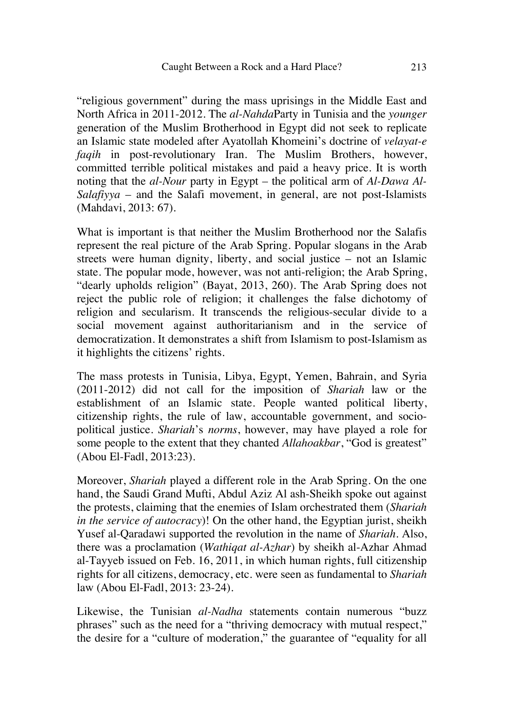"religious government" during the mass uprisings in the Middle East and North Africa in 2011-2012. The *al-Nahda*Party in Tunisia and the *younger* generation of the Muslim Brotherhood in Egypt did not seek to replicate an Islamic state modeled after Ayatollah Khomeini's doctrine of *velayat-e faqih* in post-revolutionary Iran. The Muslim Brothers, however, committed terrible political mistakes and paid a heavy price. It is worth noting that the *al-Nour* party in Egypt – the political arm of *Al-Dawa Al-Salafiyya* – and the Salafi movement, in general, are not post-Islamists (Mahdavi, 2013: 67).

What is important is that neither the Muslim Brotherhood nor the Salafis represent the real picture of the Arab Spring. Popular slogans in the Arab streets were human dignity, liberty, and social justice – not an Islamic state. The popular mode, however, was not anti-religion; the Arab Spring, "dearly upholds religion" (Bayat, 2013, 260). The Arab Spring does not reject the public role of religion; it challenges the false dichotomy of religion and secularism. It transcends the religious-secular divide to a social movement against authoritarianism and in the service of democratization. It demonstrates a shift from Islamism to post-Islamism as it highlights the citizens' rights.

The mass protests in Tunisia, Libya, Egypt, Yemen, Bahrain, and Syria (2011-2012) did not call for the imposition of *Shariah* law or the establishment of an Islamic state. People wanted political liberty, citizenship rights, the rule of law, accountable government, and sociopolitical justice. *Shariah*'s *norms*, however, may have played a role for some people to the extent that they chanted *Allahoakbar*, "God is greatest" (Abou El-Fadl, 2013:23).

Moreover, *Shariah* played a different role in the Arab Spring. On the one hand, the Saudi Grand Mufti, Abdul Aziz Al ash-Sheikh spoke out against the protests, claiming that the enemies of Islam orchestrated them (*Shariah in the service of autocracy*)! On the other hand, the Egyptian jurist, sheikh Yusef al-Qaradawi supported the revolution in the name of *Shariah*. Also, there was a proclamation (*Wathiqat al-Azhar*) by sheikh al-Azhar Ahmad al-Tayyeb issued on Feb. 16, 2011, in which human rights, full citizenship rights for all citizens, democracy, etc. were seen as fundamental to *Shariah* law (Abou El-Fadl, 2013: 23-24).

Likewise, the Tunisian *al-Nadha* statements contain numerous "buzz phrases" such as the need for a "thriving democracy with mutual respect," the desire for a "culture of moderation," the guarantee of "equality for all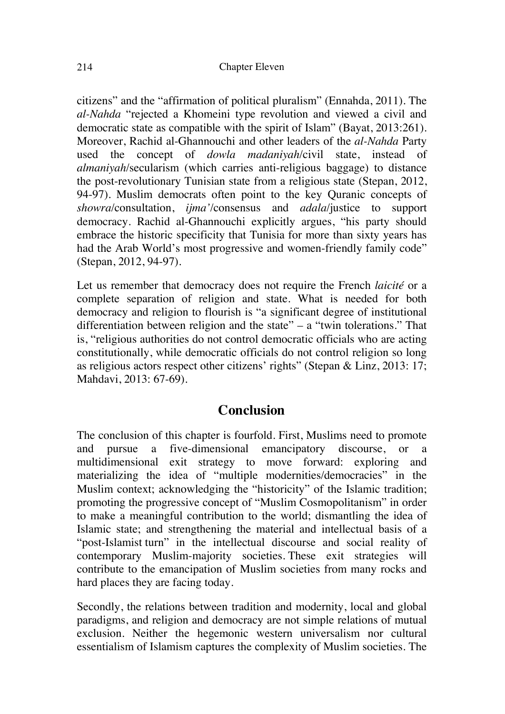citizens" and the "affirmation of political pluralism" (Ennahda, 2011). The *al-Nahda* "rejected a Khomeini type revolution and viewed a civil and democratic state as compatible with the spirit of Islam" (Bayat, 2013:261). Moreover, Rachid al-Ghannouchi and other leaders of the *al-Nahda* Party used the concept of *dowla madaniyah*/civil state, instead of *almaniyah*/secularism (which carries anti-religious baggage) to distance the post-revolutionary Tunisian state from a religious state (Stepan, 2012, 94-97). Muslim democrats often point to the key Quranic concepts of *showra*/consultation, *ijma'*/consensus and *adala*/justice to support democracy. Rachid al-Ghannouchi explicitly argues, "his party should embrace the historic specificity that Tunisia for more than sixty years has had the Arab World's most progressive and women-friendly family code" (Stepan, 2012, 94-97).

Let us remember that democracy does not require the French *laicité* or a complete separation of religion and state. What is needed for both democracy and religion to flourish is "a significant degree of institutional differentiation between religion and the state"  $-$  a "twin tolerations." That is, "religious authorities do not control democratic officials who are acting constitutionally, while democratic officials do not control religion so long as religious actors respect other citizens' rights" (Stepan & Linz, 2013: 17; Mahdavi, 2013: 67-69).

## **Conclusion**

The conclusion of this chapter is fourfold. First, Muslims need to promote and pursue a five-dimensional emancipatory discourse, or a multidimensional exit strategy to move forward: exploring and materializing the idea of "multiple modernities/democracies" in the Muslim context; acknowledging the "historicity" of the Islamic tradition; promoting the progressive concept of "Muslim Cosmopolitanism" in order to make a meaningful contribution to the world; dismantling the idea of Islamic state; and strengthening the material and intellectual basis of a "post-Islamist turn" in the intellectual discourse and social reality of contemporary Muslim-majority societies. These exit strategies will contribute to the emancipation of Muslim societies from many rocks and hard places they are facing today.

Secondly, the relations between tradition and modernity, local and global paradigms, and religion and democracy are not simple relations of mutual exclusion. Neither the hegemonic western universalism nor cultural essentialism of Islamism captures the complexity of Muslim societies. The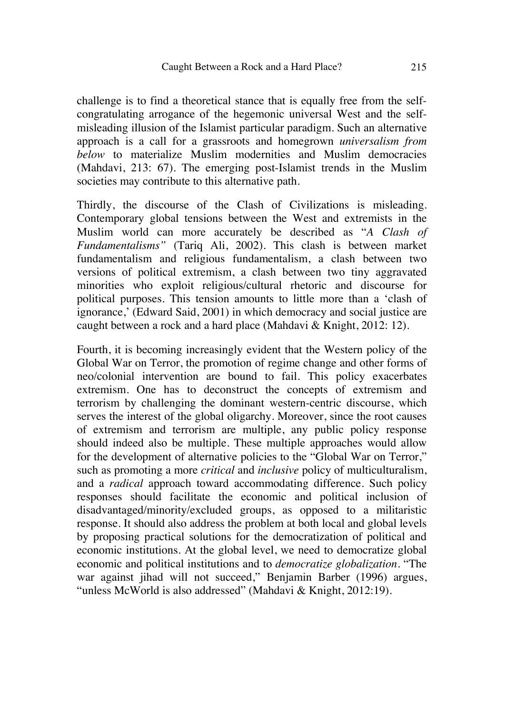challenge is to find a theoretical stance that is equally free from the selfcongratulating arrogance of the hegemonic universal West and the selfmisleading illusion of the Islamist particular paradigm. Such an alternative approach is a call for a grassroots and homegrown *universalism from below* to materialize Muslim modernities and Muslim democracies (Mahdavi, 213: 67). The emerging post-Islamist trends in the Muslim societies may contribute to this alternative path.

Thirdly, the discourse of the Clash of Civilizations is misleading. Contemporary global tensions between the West and extremists in the Muslim world can more accurately be described as "*A Clash of Fundamentalisms"* (Tariq Ali, 2002). This clash is between market fundamentalism and religious fundamentalism, a clash between two versions of political extremism, a clash between two tiny aggravated minorities who exploit religious/cultural rhetoric and discourse for political purposes. This tension amounts to little more than a 'clash of ignorance,' (Edward Said, 2001) in which democracy and social justice are caught between a rock and a hard place (Mahdavi & Knight, 2012: 12).

Fourth, it is becoming increasingly evident that the Western policy of the Global War on Terror, the promotion of regime change and other forms of neo/colonial intervention are bound to fail. This policy exacerbates extremism. One has to deconstruct the concepts of extremism and terrorism by challenging the dominant western-centric discourse, which serves the interest of the global oligarchy. Moreover, since the root causes of extremism and terrorism are multiple, any public policy response should indeed also be multiple. These multiple approaches would allow for the development of alternative policies to the "Global War on Terror," such as promoting a more *critical* and *inclusive* policy of multiculturalism, and a *radical* approach toward accommodating difference. Such policy responses should facilitate the economic and political inclusion of disadvantaged/minority/excluded groups, as opposed to a militaristic response. It should also address the problem at both local and global levels by proposing practical solutions for the democratization of political and economic institutions. At the global level, we need to democratize global economic and political institutions and to *democratize globalization*. "The war against jihad will not succeed," Benjamin Barber (1996) argues, "unless McWorld is also addressed" (Mahdavi & Knight, 2012:19).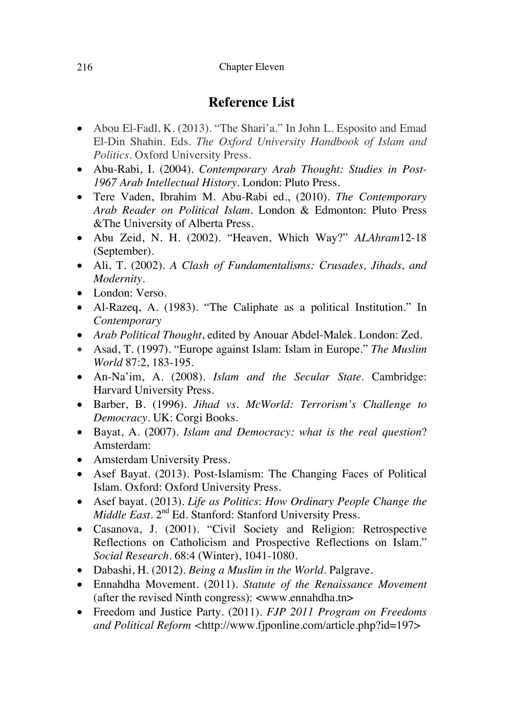#### 216 Chapter Eleven

## **Reference List**

- Abou El-Fadl, K. (2013). "The Shari'a." In John L. Esposito and Emad El-Din Shahin. Eds. *The Oxford University Handbook of Islam and Politics*. Oxford University Press.
- x Abu-Rabi, I. (2004). *Contemporary Arab Thought: Studies in Post-1967 Arab Intellectual History*. London: Pluto Press.
- x Tere Vaden, Ibrahim M. Abu-Rabi ed., (2010). *The Contemporary Arab Reader on Political Islam*. London & Edmonton: Pluto Press &The University of Alberta Press.
- x Abu Zeid, N. H. (2002). "Heaven, Which Way?" *ALAhram*12-18 (September).
- x Ali, T. (2002). *A Clash of Fundamentalisms: Crusades, Jihads, and Modernity*.
- London: Verso.
- Al-Razeq, A. (1983). "The Caliphate as a political Institution." In *Contemporary*
- *Arab Political Thought*, edited by Anouar Abdel-Malek. London: Zed.
- x Asad, T. (1997). "Europe against Islam: Islam in Europe." *The Muslim World* 87:2, 183-195.
- x An-Na'im, A. (2008). *Islam and the Secular State*. Cambridge: Harvard University Press.
- x Barber, B. (1996). *Jihad vs. McWorld: Terrorism's Challenge to Democracy*. UK: Corgi Books.
- x Bayat, A. (2007). *Islam and Democracy: what is the real question*? Amsterdam:
- Amsterdam University Press.
- Asef Bayat. (2013). Post-Islamism: The Changing Faces of Political Islam. Oxford: Oxford University Press.
- x Asef bayat. (2013). *Life as Politics*: *How Ordinary People Change the Middle East*. 2nd Ed. Stanford: Stanford University Press.
- Casanova, J. (2001). "Civil Society and Religion: Retrospective Reflections on Catholicism and Prospective Reflections on Islam." *Social Research*. 68:4 (Winter), 1041-1080.
- x Dabashi, H. (2012). *Being a Muslim in the World*. Palgrave.
- x Ennahdha Movement. (2011). *Statute of the Renaissance Movement* (after the revised Ninth congress): <www.ennahdha.tn>
- x Freedom and Justice Party. (2011). *FJP 2011 Program on Freedoms and Political Reform <*http://www.fjponline.com/article.php?id=197>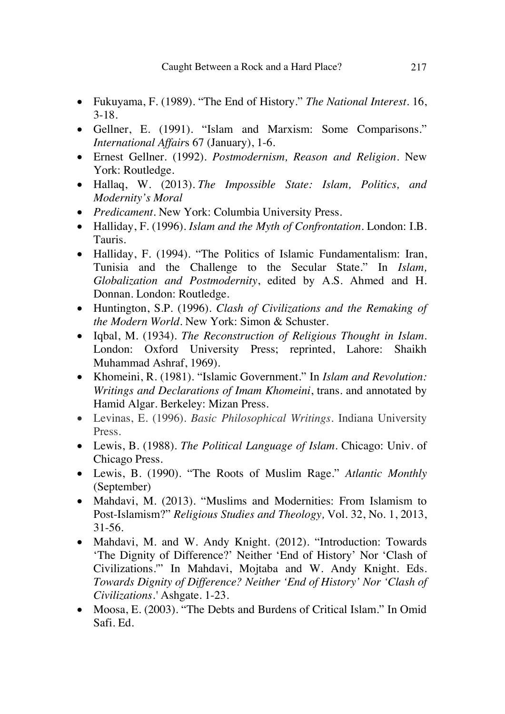- x Fukuyama, F. (1989). "The End of History." *The National Interest*. 16, 3-18.
- Gellner, E. (1991). "Islam and Marxism: Some Comparisons." *International Affair*s 67 (January), 1-6.
- x Ernest Gellner. (1992). *Postmodernism, Reason and Religion*. New York: Routledge.
- x Hallaq, W. (2013). *The Impossible State: Islam, Politics, and Modernity's Moral*
- **•** *Predicament*. New York: Columbia University Press.
- x Halliday, F. (1996). *Islam and the Myth of Confrontation*. London: I.B. Tauris.
- Halliday, F. (1994). "The Politics of Islamic Fundamentalism: Iran, Tunisia and the Challenge to the Secular State." In *Islam, Globalization and Postmodernity*, edited by A.S. Ahmed and H. Donnan. London: Routledge.
- x Huntington, S.P. (1996). *Clash of Civilizations and the Remaking of the Modern World*. New York: Simon & Schuster.
- x Iqbal, M. (1934). *The Reconstruction of Religious Thought in Islam*. London: Oxford University Press; reprinted, Lahore: Shaikh Muhammad Ashraf, 1969).
- x Khomeini, R. (1981). "Islamic Government." In *Islam and Revolution: Writings and Declarations of Imam Khomeini*, trans. and annotated by Hamid Algar. Berkeley: Mizan Press.
- x Levinas, E. (1996). *Basic Philosophical Writings*. Indiana University Press.
- x Lewis, B. (1988). *The Political Language of Islam*. Chicago: Univ. of Chicago Press.
- x Lewis, B. (1990). "The Roots of Muslim Rage." *Atlantic Monthly* (September)
- Mahdavi, M. (2013). "Muslims and Modernities: From Islamism to Post-Islamism?" *Religious Studies and Theology,* Vol. 32, No. 1, 2013, 31-56.
- Mahdavi, M. and W. Andy Knight. (2012). "Introduction: Towards 'The Dignity of Difference?' Neither 'End of History' Nor 'Clash of Civilizations.'" In Mahdavi, Mojtaba and W. Andy Knight. Eds. *Towards Dignity of Difference? Neither 'End of History' Nor 'Clash of Civilizations.'* Ashgate. 1-23.
- Moosa, E. (2003). "The Debts and Burdens of Critical Islam." In Omid Safi. Ed.